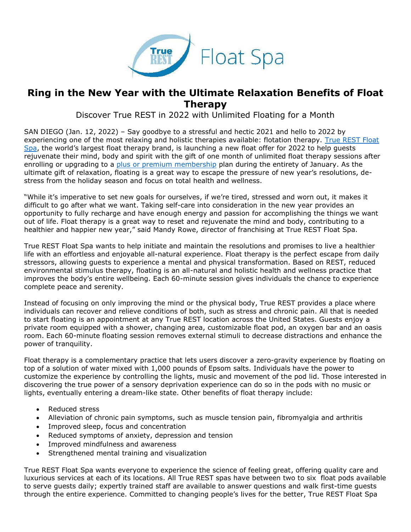

## **Ring in the New Year with the Ultimate Relaxation Benefits of Float Therapy**

Discover True REST in 2022 with Unlimited Floating for a Month

SAN DIEGO (Jan. 12, 2022) – Say goodbye to a stressful and hectic 2021 and hello to 2022 by experiencing one of the most relaxing and holistic therapies available: flotation therapy. True REST Float [Spa](https://truerest.com/float-therapy/?utm_source=Press+Release&utm_medium=Press+Release&utm_campaign=True+REST+January+2022+Promotion+Campaign&utm_content=Ring+in+the+New+Year+with+the+Help+of+True+REST+Float+Spa), the world's largest float therapy brand, is launching a new float offer for 2022 to help guests rejuvenate their mind, body and spirit with the gift of one month of unlimited float therapy sessions after enrolling or upgrading to a [plus or premium membership](https://truerest.com/get-started/float-pricing/?utm_source=PR&utm_medium=True+REST+PR&utm_campaign=True+REST+January+2022+Promotion+Campaign&utm_content=Ring+in+the+New+Year+with+the+Help+of+True+REST+Float+Spa) plan during the entirety of January. As the ultimate gift of relaxation, floating is a great way to escape the pressure of new year's resolutions, destress from the holiday season and focus on total health and wellness.

"While it's imperative to set new goals for ourselves, if we're tired, stressed and worn out, it makes it difficult to go after what we want. Taking self-care into consideration in the new year provides an opportunity to fully recharge and have enough energy and passion for accomplishing the things we want out of life. Float therapy is a great way to reset and rejuvenate the mind and body, contributing to a healthier and happier new year," said Mandy Rowe, director of franchising at True REST Float Spa.

True REST Float Spa wants to help initiate and maintain the resolutions and promises to live a healthier life with an effortless and enjoyable all-natural experience. Float therapy is the perfect escape from daily stressors, allowing guests to experience a mental and physical transformation. Based on REST, reduced environmental stimulus therapy, floating is an all-natural and holistic health and wellness practice that improves the body's entire wellbeing. Each 60-minute session gives individuals the chance to experience complete peace and serenity.

Instead of focusing on only improving the mind or the physical body, True REST provides a place where individuals can recover and relieve conditions of both, such as stress and chronic pain. All that is needed to start floating is an appointment at any True REST location across the United States. Guests enjoy a private room equipped with a shower, changing area, customizable float pod, an oxygen bar and an oasis room. Each 60-minute floating session removes external stimuli to decrease distractions and enhance the power of tranquility.

Float therapy is a complementary practice that lets users discover a zero-gravity experience by floating on top of a solution of water mixed with 1,000 pounds of Epsom salts. Individuals have the power to customize the experience by controlling the lights, music and movement of the pod lid. Those interested in discovering the true power of a sensory deprivation experience can do so in the pods with no music or lights, eventually entering a dream-like state. Other benefits of float therapy include:

- Reduced stress
- Alleviation of chronic pain symptoms, such as muscle tension pain, fibromyalgia and arthritis
- Improved sleep, focus and concentration
- Reduced symptoms of anxiety, depression and tension
- Improved mindfulness and awareness
- Strengthened mental training and visualization

True REST Float Spa wants everyone to experience the science of feeling great, offering quality care and luxurious services at each of its locations. All True REST spas have between two to six float pods available to serve guests daily; expertly trained staff are available to answer questions and walk first-time guests through the entire experience. Committed to changing people's lives for the better, True REST Float Spa